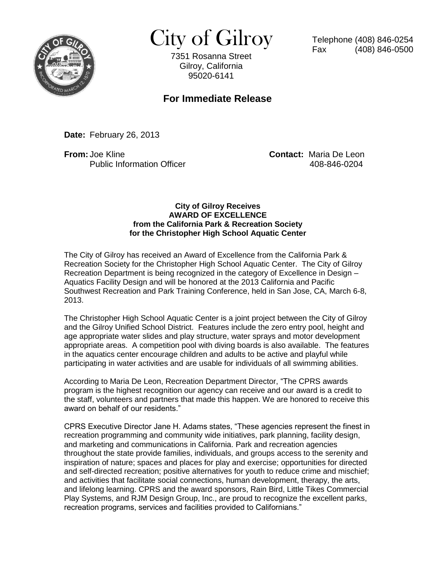

 $City of Gilroy$  Telephone (408) 846-0254

7351 Rosanna Street Gilroy, California 95020-6141

## **For Immediate Release**

**Date:** February 26, 2013

**From:** Joe Kline **Contact:** Maria De Leon Public Information Officer 408-846-0204

## **City of Gilroy Receives AWARD OF EXCELLENCE from the California Park & Recreation Society for the Christopher High School Aquatic Center**

The City of Gilroy has received an Award of Excellence from the California Park & Recreation Society for the Christopher High School Aquatic Center. The City of Gilroy Recreation Department is being recognized in the category of Excellence in Design – Aquatics Facility Design and will be honored at the 2013 California and Pacific Southwest Recreation and Park Training Conference, held in San Jose, CA, March 6-8, 2013.

The Christopher High School Aquatic Center is a joint project between the City of Gilroy and the Gilroy Unified School District. Features include the zero entry pool, height and age appropriate water slides and play structure, water sprays and motor development appropriate areas. A competition pool with diving boards is also available. The features in the aquatics center encourage children and adults to be active and playful while participating in water activities and are usable for individuals of all swimming abilities.

According to Maria De Leon, Recreation Department Director, "The CPRS awards program is the highest recognition our agency can receive and our award is a credit to the staff, volunteers and partners that made this happen. We are honored to receive this award on behalf of our residents."

CPRS Executive Director Jane H. Adams states, "These agencies represent the finest in recreation programming and community wide initiatives, park planning, facility design, and marketing and communications in California. Park and recreation agencies throughout the state provide families, individuals, and groups access to the serenity and inspiration of nature; spaces and places for play and exercise; opportunities for directed and self-directed recreation; positive alternatives for youth to reduce crime and mischief; and activities that facilitate social connections, human development, therapy, the arts, and lifelong learning. CPRS and the award sponsors, Rain Bird, Little Tikes Commercial Play Systems, and RJM Design Group, Inc., are proud to recognize the excellent parks, recreation programs, services and facilities provided to Californians."